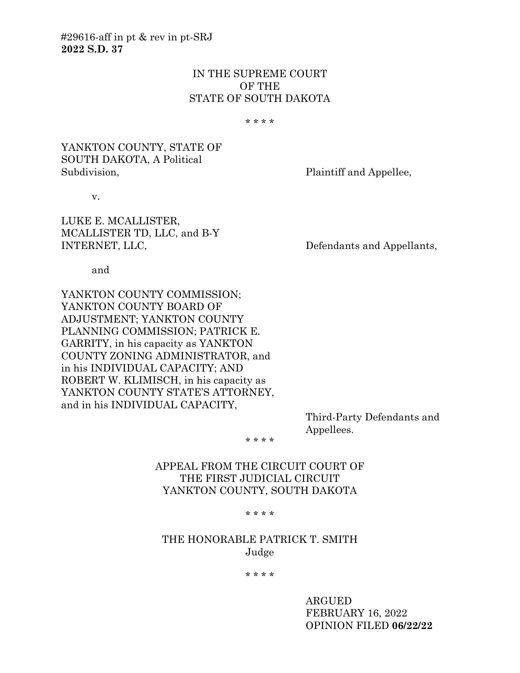## IN THE SUPREME COURT OF THE STATE OF SOUTH DAKOTA

\* \* \* \*

## YANKTON COUNTY, STATE OF SOUTH DAKOTA, A Political Subdivision, Plaintiff and Appellee,

v.

LUKE E. MCALLISTER, MCALLISTER TD, LLC, and B-Y INTERNET, LLC, Defendants and Appellants,

and

YANKTON COUNTY COMMISSION; YANKTON COUNTY BOARD OF ADJUSTMENT; YANKTON COUNTY PLANNING COMMISSION; PATRICK E. GARRITY, in his capacity as YANKTON COUNTY ZONING ADMINISTRATOR, and in his INDIVIDUAL CAPACITY; AND ROBERT W. KLIMISCH, in his capacity as YANKTON COUNTY STATE'S ATTORNEY, and in his INDIVIDUAL CAPACITY,

> Third-Party Defendants and Appellees.

\* \* \* \*

APPEAL FROM THE CIRCUIT COURT OF THE FIRST JUDICIAL CIRCUIT YANKTON COUNTY, SOUTH DAKOTA

\* \* \* \*

# THE HONORABLE PATRICK T. SMITH Judge

\* \* \* \*

ARGUED FEBRUARY 16, 2022 OPINION FILED **06/22/22**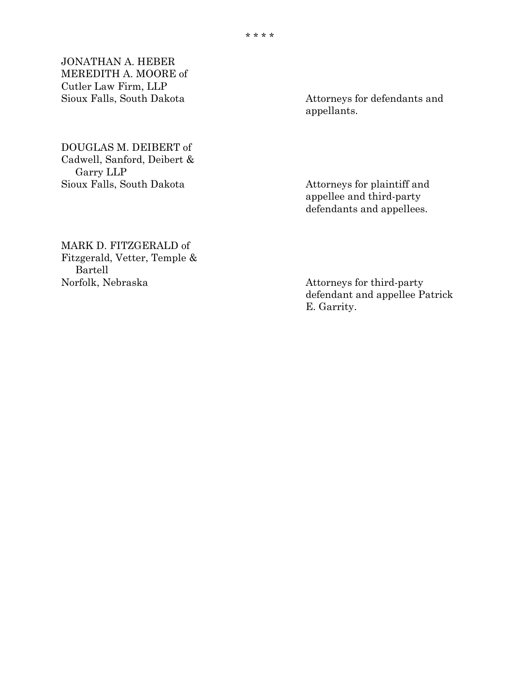JONATHAN A. HEBER MEREDITH A. MOORE of Cutler Law Firm, LLP

DOUGLAS M. DEIBERT of Cadwell, Sanford, Deibert & Garry LLP Sioux Falls, South Dakota Attorneys for plaintiff and

Attorneys for defendants and appellants.

appellee and third-party defendants and appellees.

MARK D. FITZGERALD of Fitzgerald, Vetter, Temple & Bartell<br>Norfolk, Nebraska

Attorneys for third-party defendant and appellee Patrick E. Garrity.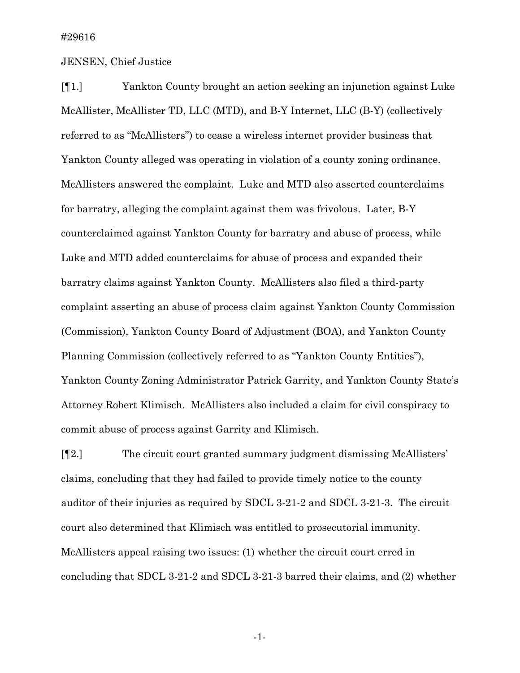### JENSEN, Chief Justice

[¶1.] Yankton County brought an action seeking an injunction against Luke McAllister, McAllister TD, LLC (MTD), and B-Y Internet, LLC (B-Y) (collectively referred to as "McAllisters") to cease a wireless internet provider business that Yankton County alleged was operating in violation of a county zoning ordinance. McAllisters answered the complaint. Luke and MTD also asserted counterclaims for barratry, alleging the complaint against them was frivolous. Later, B-Y counterclaimed against Yankton County for barratry and abuse of process, while Luke and MTD added counterclaims for abuse of process and expanded their barratry claims against Yankton County. McAllisters also filed a third-party complaint asserting an abuse of process claim against Yankton County Commission (Commission), Yankton County Board of Adjustment (BOA), and Yankton County Planning Commission (collectively referred to as "Yankton County Entities"), Yankton County Zoning Administrator Patrick Garrity, and Yankton County State's Attorney Robert Klimisch. McAllisters also included a claim for civil conspiracy to commit abuse of process against Garrity and Klimisch.

[¶2.] The circuit court granted summary judgment dismissing McAllisters' claims, concluding that they had failed to provide timely notice to the county auditor of their injuries as required by SDCL 3-21-2 and SDCL 3-21-3. The circuit court also determined that Klimisch was entitled to prosecutorial immunity. McAllisters appeal raising two issues: (1) whether the circuit court erred in concluding that SDCL 3-21-2 and SDCL 3-21-3 barred their claims, and (2) whether

-1-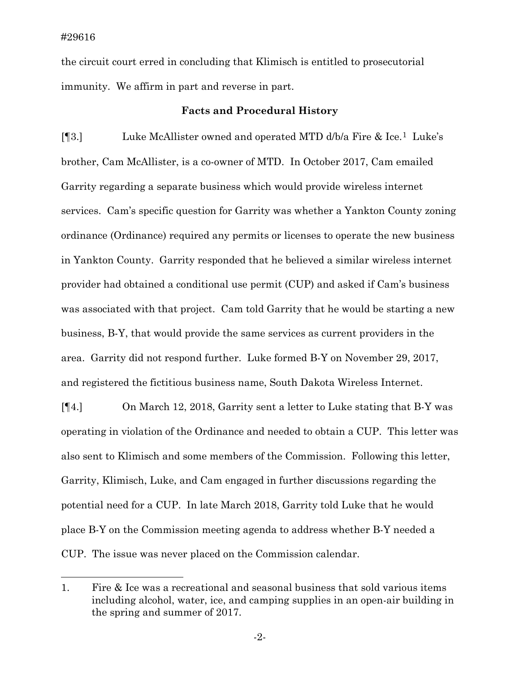the circuit court erred in concluding that Klimisch is entitled to prosecutorial immunity. We affirm in part and reverse in part.

#### **Facts and Procedural History**

[¶3.] Luke McAllister owned and operated MTD d/b/a Fire & Ice.[1](#page-3-0) Luke's brother, Cam McAllister, is a co-owner of MTD. In October 2017, Cam emailed Garrity regarding a separate business which would provide wireless internet services. Cam's specific question for Garrity was whether a Yankton County zoning ordinance (Ordinance) required any permits or licenses to operate the new business in Yankton County. Garrity responded that he believed a similar wireless internet provider had obtained a conditional use permit (CUP) and asked if Cam's business was associated with that project. Cam told Garrity that he would be starting a new business, B-Y, that would provide the same services as current providers in the area. Garrity did not respond further. Luke formed B-Y on November 29, 2017, and registered the fictitious business name, South Dakota Wireless Internet.

[¶4.] On March 12, 2018, Garrity sent a letter to Luke stating that B-Y was operating in violation of the Ordinance and needed to obtain a CUP. This letter was also sent to Klimisch and some members of the Commission. Following this letter, Garrity, Klimisch, Luke, and Cam engaged in further discussions regarding the potential need for a CUP. In late March 2018, Garrity told Luke that he would place B-Y on the Commission meeting agenda to address whether B-Y needed a CUP. The issue was never placed on the Commission calendar.

<span id="page-3-0"></span><sup>1.</sup> Fire & Ice was a recreational and seasonal business that sold various items including alcohol, water, ice, and camping supplies in an open-air building in the spring and summer of 2017.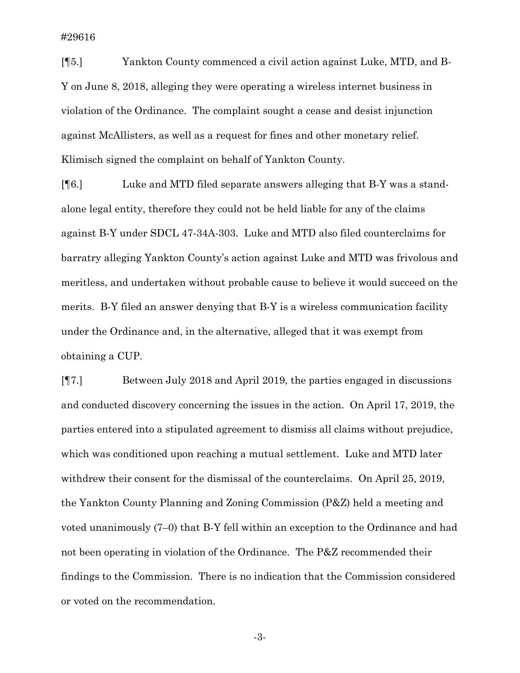[¶5.] Yankton County commenced a civil action against Luke, MTD, and B-Y on June 8, 2018, alleging they were operating a wireless internet business in violation of the Ordinance. The complaint sought a cease and desist injunction against McAllisters, as well as a request for fines and other monetary relief. Klimisch signed the complaint on behalf of Yankton County.

[¶6.] Luke and MTD filed separate answers alleging that B-Y was a standalone legal entity, therefore they could not be held liable for any of the claims against B-Y under SDCL 47-34A-303. Luke and MTD also filed counterclaims for barratry alleging Yankton County's action against Luke and MTD was frivolous and meritless, and undertaken without probable cause to believe it would succeed on the merits. B-Y filed an answer denying that B-Y is a wireless communication facility under the Ordinance and, in the alternative, alleged that it was exempt from obtaining a CUP.

[¶7.] Between July 2018 and April 2019, the parties engaged in discussions and conducted discovery concerning the issues in the action. On April 17, 2019, the parties entered into a stipulated agreement to dismiss all claims without prejudice, which was conditioned upon reaching a mutual settlement. Luke and MTD later withdrew their consent for the dismissal of the counterclaims. On April 25, 2019, the Yankton County Planning and Zoning Commission (P&Z) held a meeting and voted unanimously (7–0) that B-Y fell within an exception to the Ordinance and had not been operating in violation of the Ordinance. The P&Z recommended their findings to the Commission. There is no indication that the Commission considered or voted on the recommendation.

-3-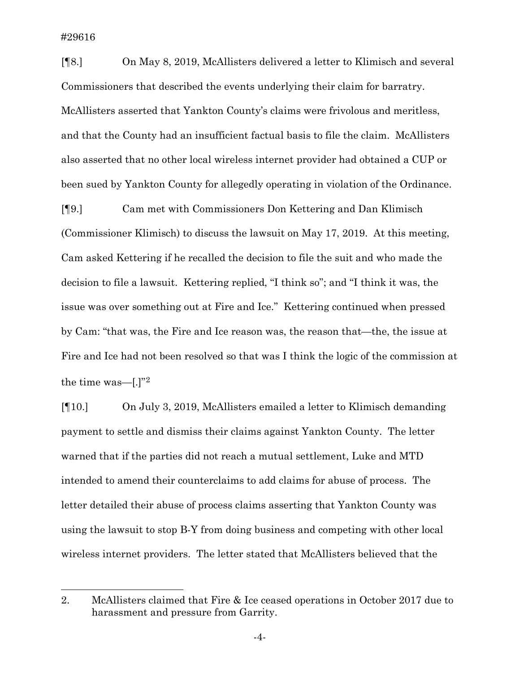[¶8.] On May 8, 2019, McAllisters delivered a letter to Klimisch and several Commissioners that described the events underlying their claim for barratry. McAllisters asserted that Yankton County's claims were frivolous and meritless, and that the County had an insufficient factual basis to file the claim. McAllisters also asserted that no other local wireless internet provider had obtained a CUP or been sued by Yankton County for allegedly operating in violation of the Ordinance.

[¶9.] Cam met with Commissioners Don Kettering and Dan Klimisch (Commissioner Klimisch) to discuss the lawsuit on May 17, 2019. At this meeting, Cam asked Kettering if he recalled the decision to file the suit and who made the decision to file a lawsuit. Kettering replied, "I think so"; and "I think it was, the issue was over something out at Fire and Ice." Kettering continued when pressed by Cam: "that was, the Fire and Ice reason was, the reason that—the, the issue at Fire and Ice had not been resolved so that was I think the logic of the commission at the time was—[.]"[2](#page-5-0)

[¶10.] On July 3, 2019, McAllisters emailed a letter to Klimisch demanding payment to settle and dismiss their claims against Yankton County. The letter warned that if the parties did not reach a mutual settlement, Luke and MTD intended to amend their counterclaims to add claims for abuse of process. The letter detailed their abuse of process claims asserting that Yankton County was using the lawsuit to stop B-Y from doing business and competing with other local wireless internet providers. The letter stated that McAllisters believed that the

<span id="page-5-0"></span><sup>2.</sup> McAllisters claimed that Fire & Ice ceased operations in October 2017 due to harassment and pressure from Garrity.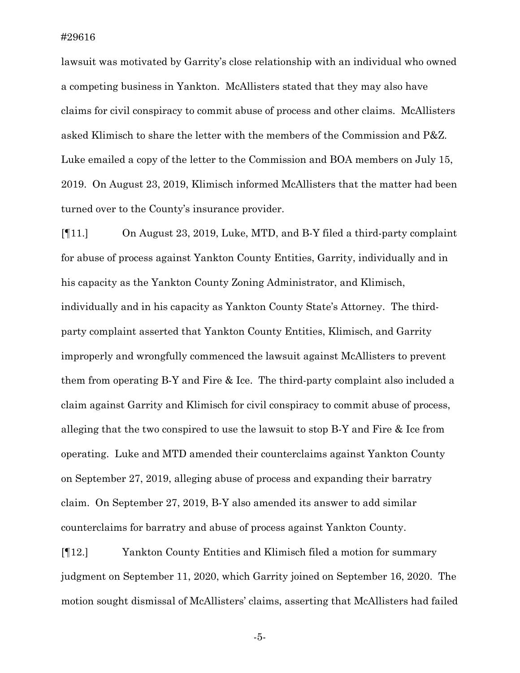lawsuit was motivated by Garrity's close relationship with an individual who owned a competing business in Yankton. McAllisters stated that they may also have claims for civil conspiracy to commit abuse of process and other claims. McAllisters asked Klimisch to share the letter with the members of the Commission and P&Z. Luke emailed a copy of the letter to the Commission and BOA members on July 15, 2019. On August 23, 2019, Klimisch informed McAllisters that the matter had been turned over to the County's insurance provider.

[¶11.] On August 23, 2019, Luke, MTD, and B-Y filed a third-party complaint for abuse of process against Yankton County Entities, Garrity, individually and in his capacity as the Yankton County Zoning Administrator, and Klimisch, individually and in his capacity as Yankton County State's Attorney. The thirdparty complaint asserted that Yankton County Entities, Klimisch, and Garrity improperly and wrongfully commenced the lawsuit against McAllisters to prevent them from operating B-Y and Fire & Ice. The third-party complaint also included a claim against Garrity and Klimisch for civil conspiracy to commit abuse of process, alleging that the two conspired to use the lawsuit to stop B-Y and Fire & Ice from operating. Luke and MTD amended their counterclaims against Yankton County on September 27, 2019, alleging abuse of process and expanding their barratry claim. On September 27, 2019, B-Y also amended its answer to add similar counterclaims for barratry and abuse of process against Yankton County.

[¶12.] Yankton County Entities and Klimisch filed a motion for summary judgment on September 11, 2020, which Garrity joined on September 16, 2020. The motion sought dismissal of McAllisters' claims, asserting that McAllisters had failed

-5-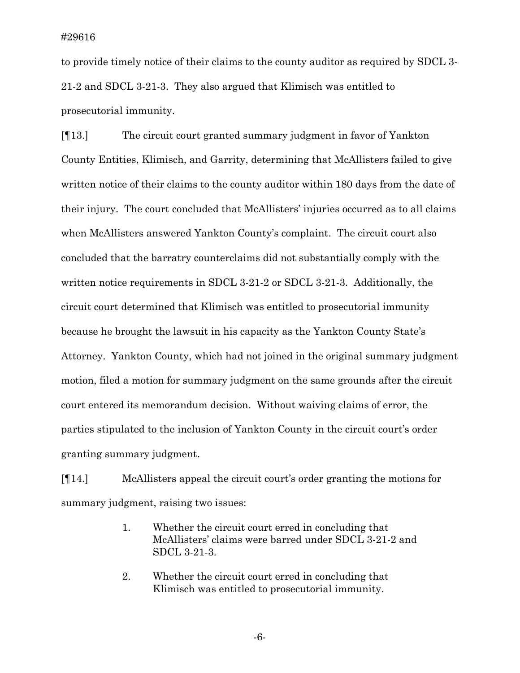to provide timely notice of their claims to the county auditor as required by SDCL 3- 21-2 and SDCL 3-21-3. They also argued that Klimisch was entitled to prosecutorial immunity.

[¶13.] The circuit court granted summary judgment in favor of Yankton County Entities, Klimisch, and Garrity, determining that McAllisters failed to give written notice of their claims to the county auditor within 180 days from the date of their injury. The court concluded that McAllisters' injuries occurred as to all claims when McAllisters answered Yankton County's complaint. The circuit court also concluded that the barratry counterclaims did not substantially comply with the written notice requirements in SDCL 3-21-2 or SDCL 3-21-3. Additionally, the circuit court determined that Klimisch was entitled to prosecutorial immunity because he brought the lawsuit in his capacity as the Yankton County State's Attorney. Yankton County, which had not joined in the original summary judgment motion, filed a motion for summary judgment on the same grounds after the circuit court entered its memorandum decision. Without waiving claims of error, the parties stipulated to the inclusion of Yankton County in the circuit court's order granting summary judgment.

[¶14.] McAllisters appeal the circuit court's order granting the motions for summary judgment, raising two issues:

- 1. Whether the circuit court erred in concluding that McAllisters' claims were barred under SDCL 3-21-2 and SDCL 3-21-3.
- 2. Whether the circuit court erred in concluding that Klimisch was entitled to prosecutorial immunity.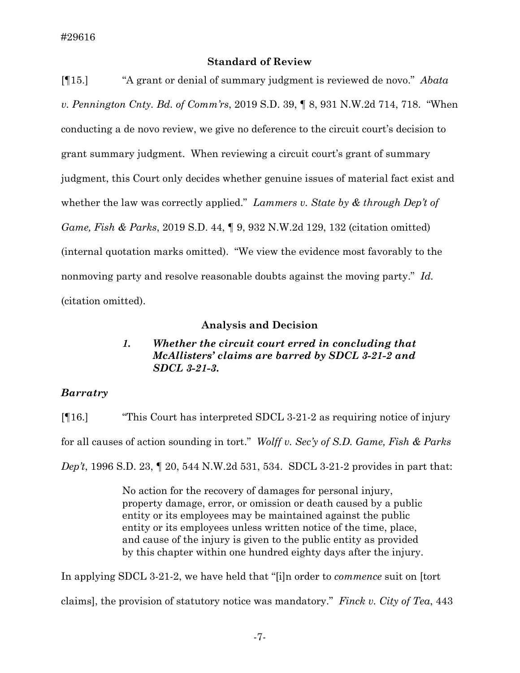## **Standard of Review**

[¶15.] "A grant or denial of summary judgment is reviewed de novo." *Abata v. Pennington Cnty. Bd. of Comm'rs*, 2019 S.D. 39, ¶ 8, 931 N.W.2d 714, 718. "When conducting a de novo review, we give no deference to the circuit court's decision to grant summary judgment. When reviewing a circuit court's grant of summary judgment, this Court only decides whether genuine issues of material fact exist and whether the law was correctly applied." *Lammers v. State by & through Dep't of Game, Fish & Parks*, 2019 S.D. 44, ¶ 9, 932 N.W.2d 129, 132 (citation omitted) (internal quotation marks omitted). "We view the evidence most favorably to the nonmoving party and resolve reasonable doubts against the moving party." *Id.*  (citation omitted).

## **Analysis and Decision**

# *1. Whether the circuit court erred in concluding that McAllisters' claims are barred by SDCL 3-21-2 and SDCL 3-21-3***.**

## *Barratry*

[¶16.] "This Court has interpreted SDCL 3-21-2 as requiring notice of injury for all causes of action sounding in tort." *Wolff v. Sec'y of S.D. Game, Fish & Parks Dep't*, 1996 S.D. 23, ¶ 20, 544 N.W.2d 531, 534. SDCL 3-21-2 provides in part that:

> No action for the recovery of damages for personal injury, property damage, error, or omission or death caused by a public entity or its employees may be maintained against the public entity or its employees unless written notice of the time, place, and cause of the injury is given to the public entity as provided by this chapter within one hundred eighty days after the injury.

In applying SDCL 3-21-2, we have held that "[i]n order to *commence* suit on [tort claims], the provision of statutory notice was mandatory." *Finck v. City of Tea*, 443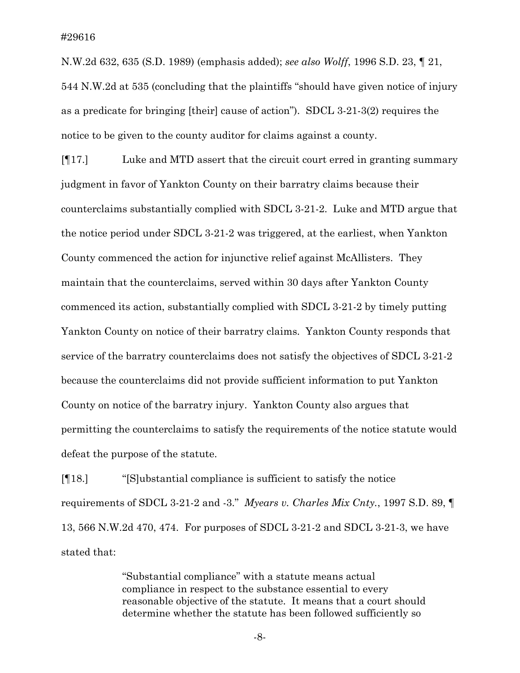N.W.2d 632, 635 (S.D. 1989) (emphasis added); *see also Wolff*, 1996 S.D. 23, ¶ 21, 544 N.W.2d at 535 (concluding that the plaintiffs "should have given notice of injury as a predicate for bringing [their] cause of action"). SDCL 3-21-3(2) requires the notice to be given to the county auditor for claims against a county.

[¶17.] Luke and MTD assert that the circuit court erred in granting summary judgment in favor of Yankton County on their barratry claims because their counterclaims substantially complied with SDCL 3-21-2. Luke and MTD argue that the notice period under SDCL 3-21-2 was triggered, at the earliest, when Yankton County commenced the action for injunctive relief against McAllisters. They maintain that the counterclaims, served within 30 days after Yankton County commenced its action, substantially complied with SDCL 3-21-2 by timely putting Yankton County on notice of their barratry claims. Yankton County responds that service of the barratry counterclaims does not satisfy the objectives of SDCL 3-21-2 because the counterclaims did not provide sufficient information to put Yankton County on notice of the barratry injury. Yankton County also argues that permitting the counterclaims to satisfy the requirements of the notice statute would defeat the purpose of the statute.

[¶18.] "[S]ubstantial compliance is sufficient to satisfy the notice requirements of SDCL 3-21-2 and -3." *Myears v. Charles Mix Cnty.*, 1997 S.D. 89, ¶ 13, 566 N.W.2d 470, 474. For purposes of SDCL 3-21-2 and SDCL 3-21-3, we have stated that:

> "Substantial compliance" with a statute means actual compliance in respect to the substance essential to every reasonable objective of the statute. It means that a court should determine whether the statute has been followed sufficiently so

> > -8-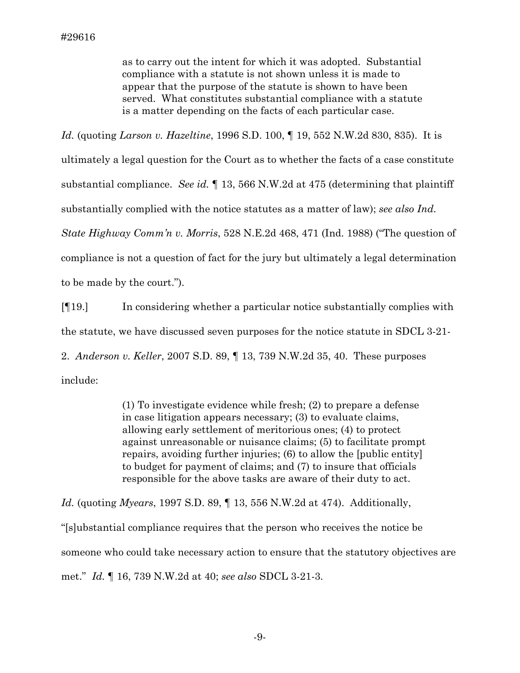as to carry out the intent for which it was adopted. Substantial compliance with a statute is not shown unless it is made to appear that the purpose of the statute is shown to have been served. What constitutes substantial compliance with a statute is a matter depending on the facts of each particular case.

*Id.* (quoting *Larson v. Hazeltine*, 1996 S.D. 100, ¶ 19, 552 N.W.2d 830, 835). It is ultimately a legal question for the Court as to whether the facts of a case constitute substantial compliance. *See id.* ¶ 13, 566 N.W.2d at 475 (determining that plaintiff substantially complied with the notice statutes as a matter of law); *see also Ind. State Highway Comm'n v. Morris*, 528 N.E.2d 468, 471 (Ind. 1988) ("The question of compliance is not a question of fact for the jury but ultimately a legal determination to be made by the court.").

[¶19.] In considering whether a particular notice substantially complies with the statute, we have discussed seven purposes for the notice statute in SDCL 3-21- 2. *Anderson v. Keller*, 2007 S.D. 89, ¶ 13, 739 N.W.2d 35, 40. These purposes include:

> (1) To investigate evidence while fresh; (2) to prepare a defense in case litigation appears necessary; (3) to evaluate claims, allowing early settlement of meritorious ones; (4) to protect against unreasonable or nuisance claims; (5) to facilitate prompt repairs, avoiding further injuries; (6) to allow the [public entity] to budget for payment of claims; and (7) to insure that officials responsible for the above tasks are aware of their duty to act.

*Id.* (quoting *Myears*, 1997 S.D. 89, ¶ 13, 556 N.W.2d at 474). Additionally, "[s]ubstantial compliance requires that the person who receives the notice be someone who could take necessary action to ensure that the statutory objectives are met." *Id.* ¶ 16, 739 N.W.2d at 40; *see also* SDCL 3-21-3.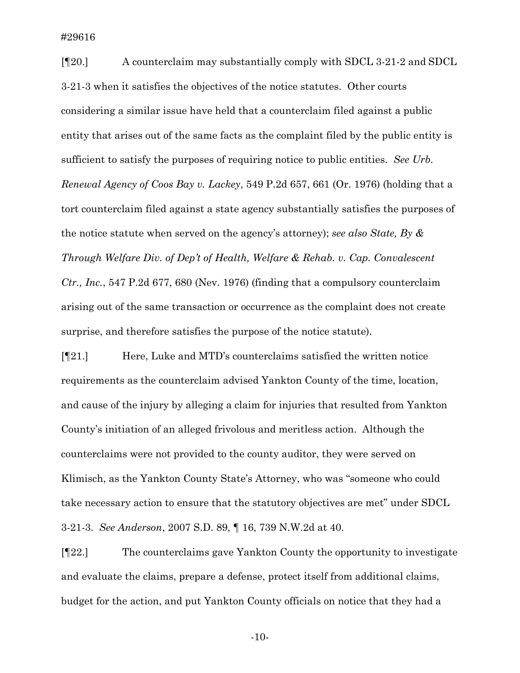[¶20.] A counterclaim may substantially comply with SDCL 3-21-2 and SDCL 3-21-3 when it satisfies the objectives of the notice statutes. Other courts considering a similar issue have held that a counterclaim filed against a public entity that arises out of the same facts as the complaint filed by the public entity is sufficient to satisfy the purposes of requiring notice to public entities. *See Urb. Renewal Agency of Coos Bay v. Lackey*, 549 P.2d 657, 661 (Or. 1976) (holding that a tort counterclaim filed against a state agency substantially satisfies the purposes of the notice statute when served on the agency's attorney); *see also State, By & Through Welfare Div. of Dep't of Health, Welfare & Rehab. v. Cap. Convalescent Ctr., Inc.*, 547 P.2d 677, 680 (Nev. 1976) (finding that a compulsory counterclaim arising out of the same transaction or occurrence as the complaint does not create surprise, and therefore satisfies the purpose of the notice statute).

[¶21.] Here, Luke and MTD's counterclaims satisfied the written notice requirements as the counterclaim advised Yankton County of the time, location, and cause of the injury by alleging a claim for injuries that resulted from Yankton County's initiation of an alleged frivolous and meritless action. Although the counterclaims were not provided to the county auditor, they were served on Klimisch, as the Yankton County State's Attorney, who was "someone who could take necessary action to ensure that the statutory objectives are met" under SDCL 3-21-3. *See Anderson*, 2007 S.D. 89, ¶ 16, 739 N.W.2d at 40.

[¶22.] The counterclaims gave Yankton County the opportunity to investigate and evaluate the claims, prepare a defense, protect itself from additional claims, budget for the action, and put Yankton County officials on notice that they had a

-10-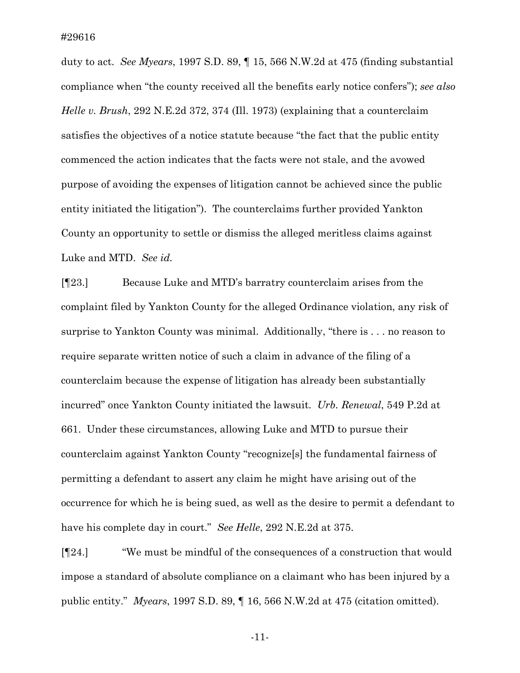duty to act. *See Myears*, 1997 S.D. 89, ¶ 15, 566 N.W.2d at 475 (finding substantial compliance when "the county received all the benefits early notice confers"); *see also Helle v. Brush*, 292 N.E.2d 372, 374 (Ill. 1973) (explaining that a counterclaim satisfies the objectives of a notice statute because "the fact that the public entity commenced the action indicates that the facts were not stale, and the avowed purpose of avoiding the expenses of litigation cannot be achieved since the public entity initiated the litigation"). The counterclaims further provided Yankton County an opportunity to settle or dismiss the alleged meritless claims against Luke and MTD. *See id.*

[¶23.] Because Luke and MTD's barratry counterclaim arises from the complaint filed by Yankton County for the alleged Ordinance violation, any risk of surprise to Yankton County was minimal. Additionally, "there is . . . no reason to require separate written notice of such a claim in advance of the filing of a counterclaim because the expense of litigation has already been substantially incurred" once Yankton County initiated the lawsuit. *Urb. Renewal*, 549 P.2d at 661. Under these circumstances, allowing Luke and MTD to pursue their counterclaim against Yankton County "recognize[s] the fundamental fairness of permitting a defendant to assert any claim he might have arising out of the occurrence for which he is being sued, as well as the desire to permit a defendant to have his complete day in court." *See Helle*, 292 N.E.2d at 375.

[¶24.] "We must be mindful of the consequences of a construction that would impose a standard of absolute compliance on a claimant who has been injured by a public entity." *Myears*, 1997 S.D. 89, ¶ 16, 566 N.W.2d at 475 (citation omitted).

-11-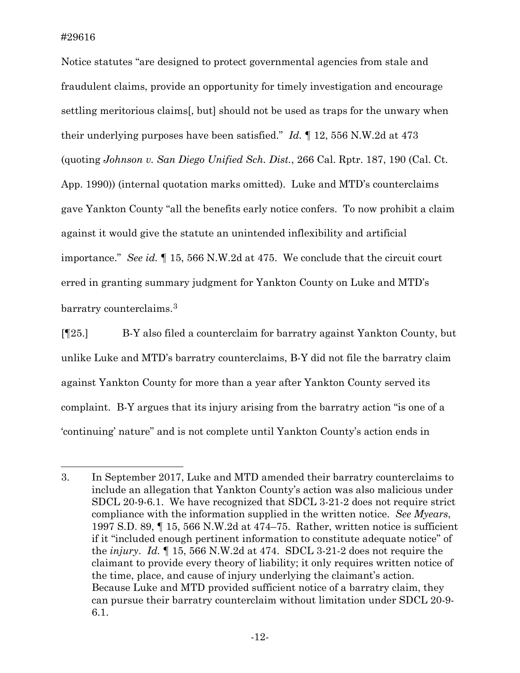Notice statutes "are designed to protect governmental agencies from stale and fraudulent claims, provide an opportunity for timely investigation and encourage settling meritorious claims[, but] should not be used as traps for the unwary when their underlying purposes have been satisfied." *Id.* ¶ 12, 556 N.W.2d at 473 (quoting *Johnson v. San Diego Unified Sch. Dist.*, 266 Cal. Rptr. 187, 190 (Cal. Ct. App. 1990)) (internal quotation marks omitted). Luke and MTD's counterclaims gave Yankton County "all the benefits early notice confers. To now prohibit a claim against it would give the statute an unintended inflexibility and artificial importance." *See id.* ¶ 15, 566 N.W.2d at 475. We conclude that the circuit court erred in granting summary judgment for Yankton County on Luke and MTD's barratry counterclaims.[3](#page-13-0)

[¶25.] B-Y also filed a counterclaim for barratry against Yankton County, but unlike Luke and MTD's barratry counterclaims, B-Y did not file the barratry claim against Yankton County for more than a year after Yankton County served its complaint. B-Y argues that its injury arising from the barratry action "is one of a 'continuing' nature" and is not complete until Yankton County's action ends in

<span id="page-13-0"></span><sup>3.</sup> In September 2017, Luke and MTD amended their barratry counterclaims to include an allegation that Yankton County's action was also malicious under SDCL 20-9-6.1. We have recognized that SDCL 3-21-2 does not require strict compliance with the information supplied in the written notice. *See Myears*, 1997 S.D. 89, ¶ 15, 566 N.W.2d at 474–75. Rather, written notice is sufficient if it "included enough pertinent information to constitute adequate notice" of the *injury*. *Id.* ¶ 15, 566 N.W.2d at 474. SDCL 3-21-2 does not require the claimant to provide every theory of liability; it only requires written notice of the time, place, and cause of injury underlying the claimant's action. Because Luke and MTD provided sufficient notice of a barratry claim, they can pursue their barratry counterclaim without limitation under SDCL 20-9- 6.1.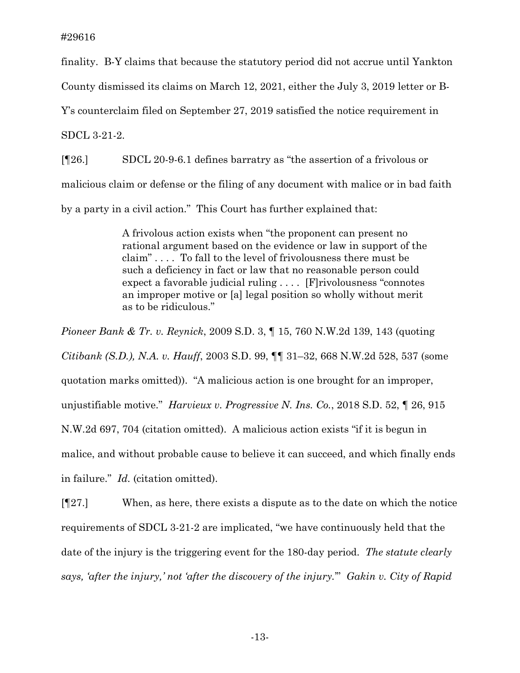finality. B-Y claims that because the statutory period did not accrue until Yankton

County dismissed its claims on March 12, 2021, either the July 3, 2019 letter or B-

Y's counterclaim filed on September 27, 2019 satisfied the notice requirement in

SDCL 3-21-2.

[¶26.] SDCL 20-9-6.1 defines barratry as "the assertion of a frivolous or malicious claim or defense or the filing of any document with malice or in bad faith by a party in a civil action." This Court has further explained that:

> A frivolous action exists when "the proponent can present no rational argument based on the evidence or law in support of the claim" . . . . To fall to the level of frivolousness there must be such a deficiency in fact or law that no reasonable person could expect a favorable judicial ruling . . . . [F]rivolousness "connotes an improper motive or [a] legal position so wholly without merit as to be ridiculous."

*Pioneer Bank & Tr. v. Reynick*, 2009 S.D. 3, ¶ 15, 760 N.W.2d 139, 143 (quoting *Citibank (S.D.), N.A. v. Hauff*, 2003 S.D. 99, ¶¶ 31–32, 668 N.W.2d 528, 537 (some quotation marks omitted)). "A malicious action is one brought for an improper, unjustifiable motive." *Harvieux v. Progressive N. Ins. Co.*, 2018 S.D. 52, ¶ 26, 915 N.W.2d 697, 704 (citation omitted). A malicious action exists "if it is begun in malice, and without probable cause to believe it can succeed, and which finally ends in failure." *Id.* (citation omitted).

[¶27.] When, as here, there exists a dispute as to the date on which the notice requirements of SDCL 3-21-2 are implicated, "we have continuously held that the date of the injury is the triggering event for the 180-day period. *The statute clearly says, 'after the injury,' not 'after the discovery of the injury.*'" *Gakin v. City of Rapid*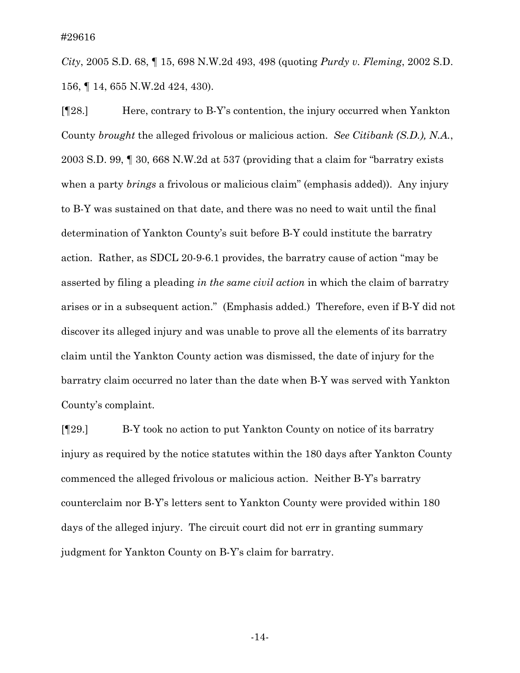*City*, 2005 S.D. 68, ¶ 15, 698 N.W.2d 493, 498 (quoting *Purdy v. Fleming*, 2002 S.D. 156, ¶ 14, 655 N.W.2d 424, 430).

[¶28.] Here, contrary to B-Y's contention, the injury occurred when Yankton County *brought* the alleged frivolous or malicious action. *See Citibank (S.D.), N.A.*, 2003 S.D. 99, ¶ 30, 668 N.W.2d at 537 (providing that a claim for "barratry exists when a party *brings* a frivolous or malicious claim" (emphasis added)). Any injury to B-Y was sustained on that date, and there was no need to wait until the final determination of Yankton County's suit before B-Y could institute the barratry action. Rather, as SDCL 20-9-6.1 provides, the barratry cause of action "may be asserted by filing a pleading *in the same civil action* in which the claim of barratry arises or in a subsequent action." (Emphasis added.) Therefore, even if B-Y did not discover its alleged injury and was unable to prove all the elements of its barratry claim until the Yankton County action was dismissed, the date of injury for the barratry claim occurred no later than the date when B-Y was served with Yankton County's complaint.

[¶29.] B-Y took no action to put Yankton County on notice of its barratry injury as required by the notice statutes within the 180 days after Yankton County commenced the alleged frivolous or malicious action. Neither B-Y's barratry counterclaim nor B-Y's letters sent to Yankton County were provided within 180 days of the alleged injury. The circuit court did not err in granting summary judgment for Yankton County on B-Y's claim for barratry.

-14-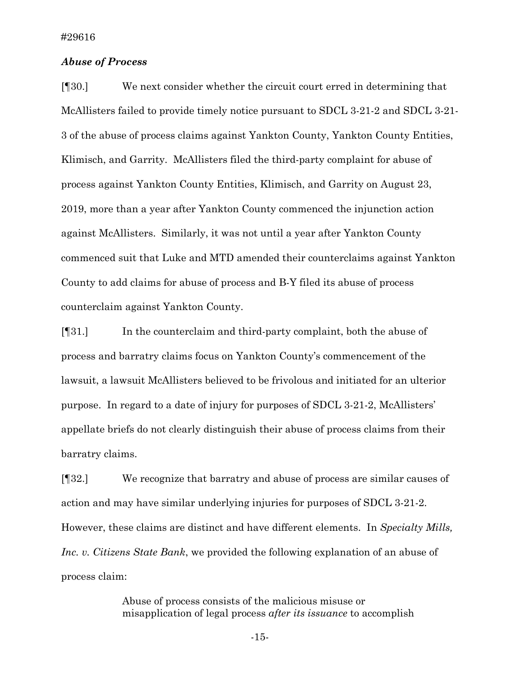### *Abuse of Process*

[¶30.] We next consider whether the circuit court erred in determining that McAllisters failed to provide timely notice pursuant to SDCL 3-21-2 and SDCL 3-21- 3 of the abuse of process claims against Yankton County, Yankton County Entities, Klimisch, and Garrity. McAllisters filed the third-party complaint for abuse of process against Yankton County Entities, Klimisch, and Garrity on August 23, 2019, more than a year after Yankton County commenced the injunction action against McAllisters. Similarly, it was not until a year after Yankton County commenced suit that Luke and MTD amended their counterclaims against Yankton County to add claims for abuse of process and B-Y filed its abuse of process counterclaim against Yankton County.

[¶31.] In the counterclaim and third-party complaint, both the abuse of process and barratry claims focus on Yankton County's commencement of the lawsuit, a lawsuit McAllisters believed to be frivolous and initiated for an ulterior purpose. In regard to a date of injury for purposes of SDCL 3-21-2, McAllisters' appellate briefs do not clearly distinguish their abuse of process claims from their barratry claims.

[¶32.] We recognize that barratry and abuse of process are similar causes of action and may have similar underlying injuries for purposes of SDCL 3-21-2. However, these claims are distinct and have different elements. In *Specialty Mills, Inc. v. Citizens State Bank*, we provided the following explanation of an abuse of process claim:

> Abuse of process consists of the malicious misuse or misapplication of legal process *after its issuance* to accomplish

> > -15-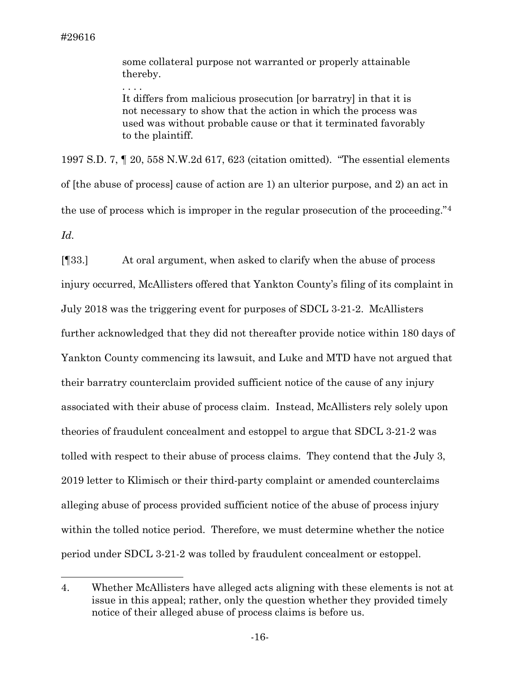. . . .

some collateral purpose not warranted or properly attainable thereby.

It differs from malicious prosecution [or barratry] in that it is not necessary to show that the action in which the process was used was without probable cause or that it terminated favorably to the plaintiff.

1997 S.D. 7, ¶ 20, 558 N.W.2d 617, 623 (citation omitted). "The essential elements of [the abuse of process] cause of action are 1) an ulterior purpose, and 2) an act in the use of process which is improper in the regular prosecution of the proceeding."[4](#page-17-0)  *Id.*

[¶33.] At oral argument, when asked to clarify when the abuse of process injury occurred, McAllisters offered that Yankton County's filing of its complaint in July 2018 was the triggering event for purposes of SDCL 3-21-2. McAllisters further acknowledged that they did not thereafter provide notice within 180 days of Yankton County commencing its lawsuit, and Luke and MTD have not argued that their barratry counterclaim provided sufficient notice of the cause of any injury associated with their abuse of process claim. Instead, McAllisters rely solely upon theories of fraudulent concealment and estoppel to argue that SDCL 3-21-2 was tolled with respect to their abuse of process claims. They contend that the July 3, 2019 letter to Klimisch or their third-party complaint or amended counterclaims alleging abuse of process provided sufficient notice of the abuse of process injury within the tolled notice period. Therefore, we must determine whether the notice period under SDCL 3-21-2 was tolled by fraudulent concealment or estoppel.

<span id="page-17-0"></span><sup>4.</sup> Whether McAllisters have alleged acts aligning with these elements is not at issue in this appeal; rather, only the question whether they provided timely notice of their alleged abuse of process claims is before us.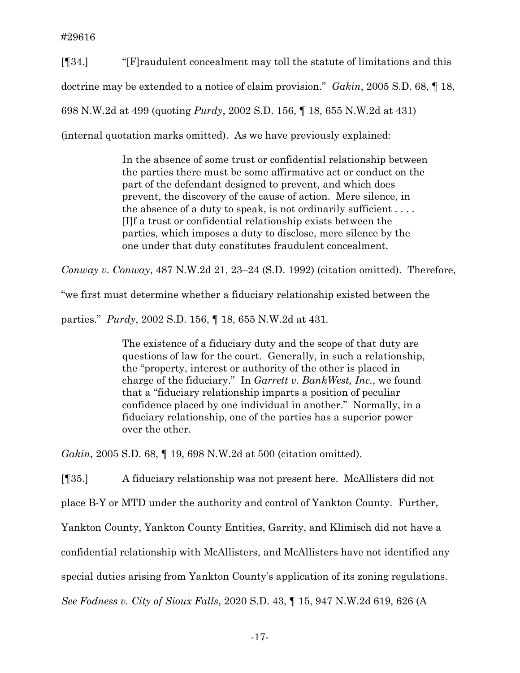[¶34.] "[F]raudulent concealment may toll the statute of limitations and this doctrine may be extended to a notice of claim provision." *Gakin*, 2005 S.D. 68, ¶ 18, 698 N.W.2d at 499 (quoting *Purdy*, 2002 S.D. 156, ¶ 18, 655 N.W.2d at 431) (internal quotation marks omitted). As we have previously explained:

> In the absence of some trust or confidential relationship between the parties there must be some affirmative act or conduct on the part of the defendant designed to prevent, and which does prevent, the discovery of the cause of action. Mere silence, in the absence of a duty to speak, is not ordinarily sufficient  $\dots$ . [I]f a trust or confidential relationship exists between the parties, which imposes a duty to disclose, mere silence by the one under that duty constitutes fraudulent concealment.

*Conway v. Conway*, 487 N.W.2d 21, 23–24 (S.D. 1992) (citation omitted). Therefore,

"we first must determine whether a fiduciary relationship existed between the

parties." *Purdy*, 2002 S.D. 156, ¶ 18, 655 N.W.2d at 431*.*

The existence of a fiduciary duty and the scope of that duty are questions of law for the court. Generally, in such a relationship, the "property, interest or authority of the other is placed in charge of the fiduciary." In *Garrett v. BankWest, Inc.*, we found that a "fiduciary relationship imparts a position of peculiar confidence placed by one individual in another." Normally, in a fiduciary relationship, one of the parties has a superior power over the other.

*Gakin*, 2005 S.D. 68, ¶ 19, 698 N.W.2d at 500 (citation omitted).

[¶35.] A fiduciary relationship was not present here. McAllisters did not

place B-Y or MTD under the authority and control of Yankton County. Further,

Yankton County, Yankton County Entities, Garrity, and Klimisch did not have a

confidential relationship with McAllisters, and McAllisters have not identified any

special duties arising from Yankton County's application of its zoning regulations.

*See Fodness v. City of Sioux Falls*, 2020 S.D. 43, ¶ 15, 947 N.W.2d 619, 626 (A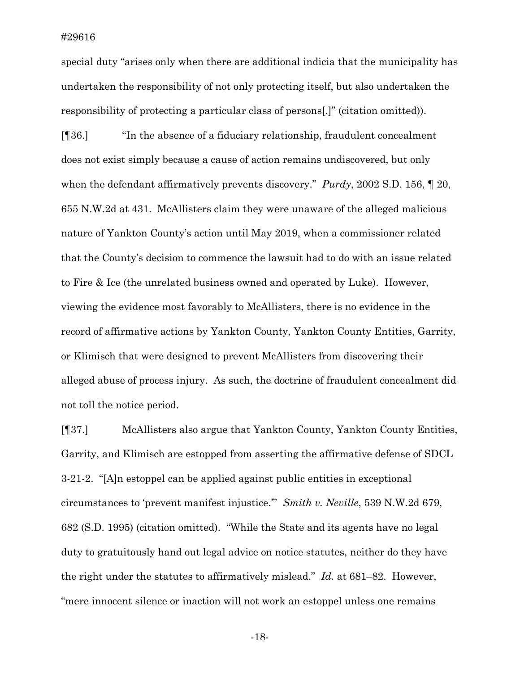special duty "arises only when there are additional indicia that the municipality has undertaken the responsibility of not only protecting itself, but also undertaken the responsibility of protecting a particular class of persons[.]" (citation omitted)).

[¶36.] "In the absence of a fiduciary relationship, fraudulent concealment does not exist simply because a cause of action remains undiscovered, but only when the defendant affirmatively prevents discovery." *Purdy*, 2002 S.D. 156, ¶ 20, 655 N.W.2d at 431. McAllisters claim they were unaware of the alleged malicious nature of Yankton County's action until May 2019, when a commissioner related that the County's decision to commence the lawsuit had to do with an issue related to Fire & Ice (the unrelated business owned and operated by Luke). However, viewing the evidence most favorably to McAllisters, there is no evidence in the record of affirmative actions by Yankton County, Yankton County Entities, Garrity, or Klimisch that were designed to prevent McAllisters from discovering their alleged abuse of process injury. As such, the doctrine of fraudulent concealment did not toll the notice period.

[¶37.] McAllisters also argue that Yankton County, Yankton County Entities, Garrity, and Klimisch are estopped from asserting the affirmative defense of SDCL 3-21-2. "[A]n estoppel can be applied against public entities in exceptional circumstances to 'prevent manifest injustice.'" *Smith v. Neville*, 539 N.W.2d 679, 682 (S.D. 1995) (citation omitted). "While the State and its agents have no legal duty to gratuitously hand out legal advice on notice statutes, neither do they have the right under the statutes to affirmatively mislead." *Id.* at 681–82. However, "mere innocent silence or inaction will not work an estoppel unless one remains

-18-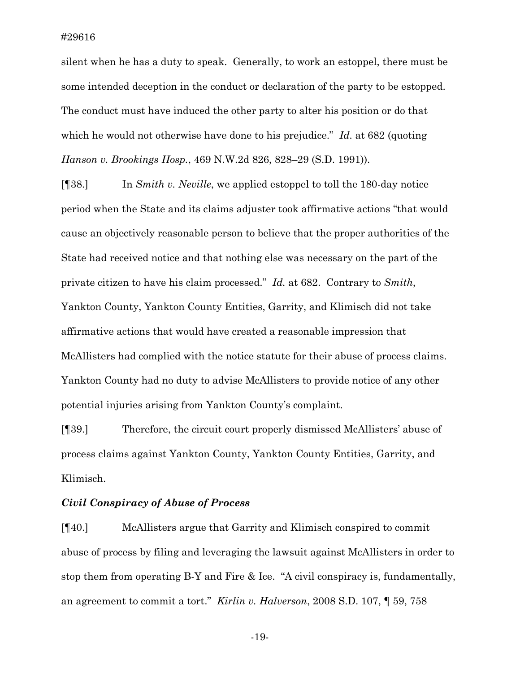silent when he has a duty to speak. Generally, to work an estoppel, there must be some intended deception in the conduct or declaration of the party to be estopped. The conduct must have induced the other party to alter his position or do that which he would not otherwise have done to his prejudice." *Id.* at 682 (quoting *Hanson v. Brookings Hosp.*, 469 N.W.2d 826, 828–29 (S.D. 1991)).

[¶38.] In *Smith v. Neville*, we applied estoppel to toll the 180-day notice period when the State and its claims adjuster took affirmative actions "that would cause an objectively reasonable person to believe that the proper authorities of the State had received notice and that nothing else was necessary on the part of the private citizen to have his claim processed." *Id.* at 682. Contrary to *Smith*, Yankton County, Yankton County Entities, Garrity, and Klimisch did not take affirmative actions that would have created a reasonable impression that McAllisters had complied with the notice statute for their abuse of process claims. Yankton County had no duty to advise McAllisters to provide notice of any other potential injuries arising from Yankton County's complaint.

[¶39.] Therefore, the circuit court properly dismissed McAllisters' abuse of process claims against Yankton County, Yankton County Entities, Garrity, and Klimisch.

## *Civil Conspiracy of Abuse of Process*

[¶40.] McAllisters argue that Garrity and Klimisch conspired to commit abuse of process by filing and leveraging the lawsuit against McAllisters in order to stop them from operating B-Y and Fire & Ice. "A civil conspiracy is, fundamentally, an agreement to commit a tort." *Kirlin v. Halverson*, 2008 S.D. 107, ¶ 59, 758

-19-